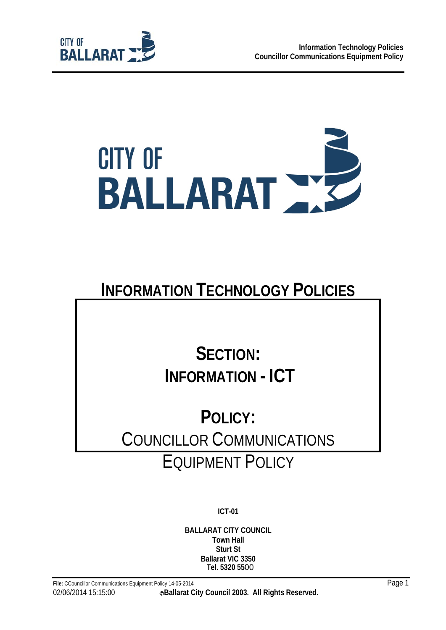



# **INFORMATION TECHNOLOGY POLICIES**

# **SECTION: INFORMATION - ICT**

# **POLICY:**  COUNCILLOR COMMUNICATIONS EQUIPMENT POLICY

**ICT-01** 

**BALLARAT CITY COUNCIL Town Hall Sturt St Ballarat VIC 3350 Tel. 5320 55**00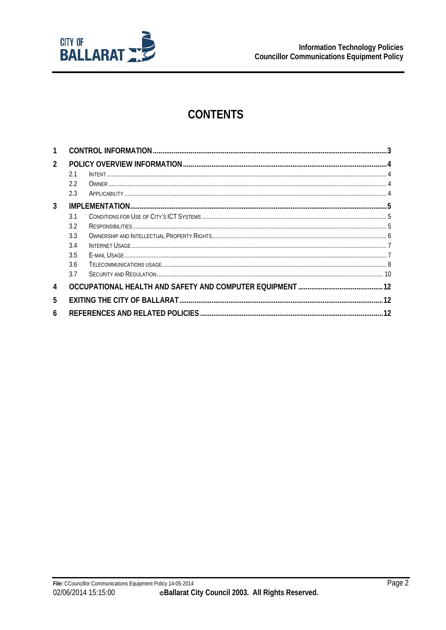

# **CONTENTS**

| 1              |     |  |  |  |
|----------------|-----|--|--|--|
| $\overline{2}$ |     |  |  |  |
|                | 2.1 |  |  |  |
|                | 2.2 |  |  |  |
|                | 2.3 |  |  |  |
| 3              |     |  |  |  |
|                | 3.1 |  |  |  |
|                | 3.2 |  |  |  |
|                | 3.3 |  |  |  |
|                | 3.4 |  |  |  |
|                | 3.5 |  |  |  |
|                | 3.6 |  |  |  |
|                | 3.7 |  |  |  |
| 4              |     |  |  |  |
| 5              |     |  |  |  |
| 6              |     |  |  |  |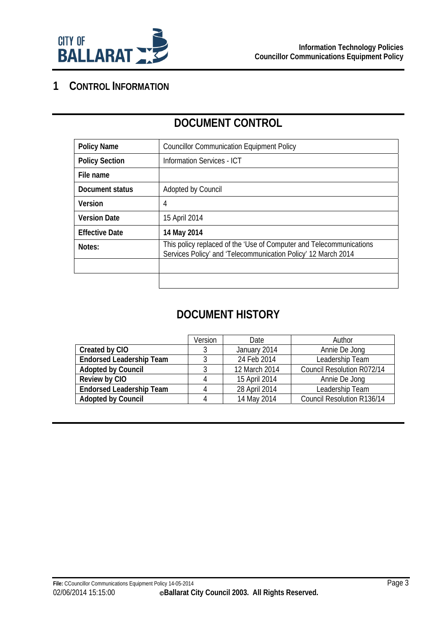

# **1 CONTROL INFORMATION**

| <b>Policy Name</b>    | <b>Councillor Communication Equipment Policy</b>                                                                                     |  |  |
|-----------------------|--------------------------------------------------------------------------------------------------------------------------------------|--|--|
| <b>Policy Section</b> | <b>Information Services - ICT</b>                                                                                                    |  |  |
| File name             |                                                                                                                                      |  |  |
| Document status       | Adopted by Council                                                                                                                   |  |  |
| <b>Version</b>        | 4                                                                                                                                    |  |  |
| <b>Version Date</b>   | 15 April 2014                                                                                                                        |  |  |
| <b>Effective Date</b> | 14 May 2014                                                                                                                          |  |  |
| Notes:                | This policy replaced of the 'Use of Computer and Telecommunications<br>Services Policy' and 'Telecommunication Policy' 12 March 2014 |  |  |
|                       |                                                                                                                                      |  |  |
|                       |                                                                                                                                      |  |  |

# **DOCUMENT CONTROL**

# **DOCUMENT HISTORY**

|                                 | Version | Date          | Author                     |
|---------------------------------|---------|---------------|----------------------------|
| Created by CIO                  |         | January 2014  | Annie De Jong              |
| <b>Endorsed Leadership Team</b> |         | 24 Feb 2014   | Leadership Team            |
| <b>Adopted by Council</b>       |         | 12 March 2014 | Council Resolution R072/14 |
| Review by CIO                   | 4       | 15 April 2014 | Annie De Jong              |
| <b>Endorsed Leadership Team</b> | 4       | 28 April 2014 | Leadership Team            |
| <b>Adopted by Council</b>       | 4       | 14 May 2014   | Council Resolution R136/14 |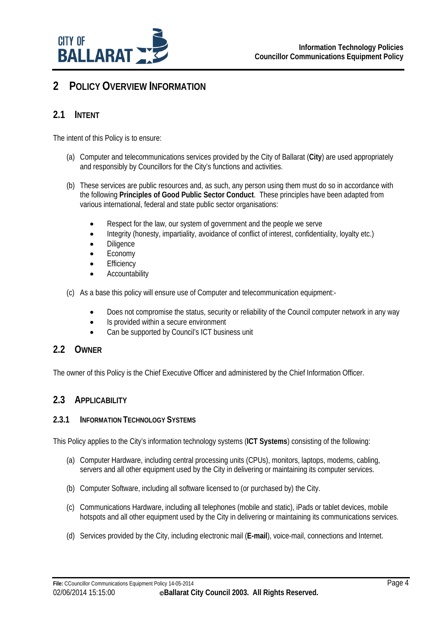

# **2 POLICY OVERVIEW INFORMATION**

## **2.1 INTENT**

The intent of this Policy is to ensure:

- (a) Computer and telecommunications services provided by the City of Ballarat (**City**) are used appropriately and responsibly by Councillors for the City's functions and activities.
- (b) These services are public resources and, as such, any person using them must do so in accordance with the following **Principles of Good Public Sector Conduct**. These principles have been adapted from various international, federal and state public sector organisations:
	- Respect for the law, our system of government and the people we serve
	- Integrity (honesty, impartiality, avoidance of conflict of interest, confidentiality, loyalty etc.)
	- Diligence
	- Economy
	- **Efficiency**
	- Accountability
- (c) As a base this policy will ensure use of Computer and telecommunication equipment:-
	- Does not compromise the status, security or reliability of the Council computer network in any way
	- Is provided within a secure environment
	- Can be supported by Council's ICT business unit

### **2.2 OWNER**

The owner of this Policy is the Chief Executive Officer and administered by the Chief Information Officer.

## **2.3 APPLICABILITY**

#### **2.3.1 INFORMATION TECHNOLOGY SYSTEMS**

This Policy applies to the City's information technology systems (**ICT Systems**) consisting of the following:

- (a) Computer Hardware, including central processing units (CPUs), monitors, laptops, modems, cabling, servers and all other equipment used by the City in delivering or maintaining its computer services.
- (b) Computer Software, including all software licensed to (or purchased by) the City.
- (c) Communications Hardware, including all telephones (mobile and static), iPads or tablet devices, mobile hotspots and all other equipment used by the City in delivering or maintaining its communications services.
- (d) Services provided by the City, including electronic mail (**E-mail**), voice-mail, connections and Internet.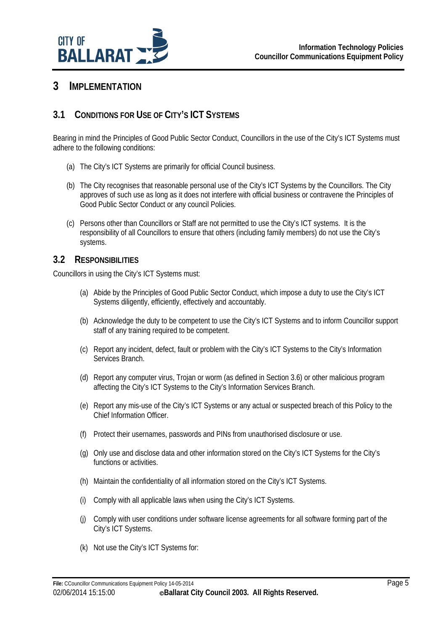

## **3 IMPLEMENTATION**

## **3.1 CONDITIONS FOR USE OF CITY'S ICT SYSTEMS**

Bearing in mind the Principles of Good Public Sector Conduct, Councillors in the use of the City's ICT Systems must adhere to the following conditions:

- (a) The City's ICT Systems are primarily for official Council business.
- (b) The City recognises that reasonable personal use of the City's ICT Systems by the Councillors. The City approves of such use as long as it does not interfere with official business or contravene the Principles of Good Public Sector Conduct or any council Policies.
- (c) Persons other than Councillors or Staff are not permitted to use the City's ICT systems. It is the responsibility of all Councillors to ensure that others (including family members) do not use the City's systems.

#### **3.2 RESPONSIBILITIES**

Councillors in using the City's ICT Systems must:

- (a) Abide by the Principles of Good Public Sector Conduct, which impose a duty to use the City's ICT Systems diligently, efficiently, effectively and accountably.
- (b) Acknowledge the duty to be competent to use the City's ICT Systems and to inform Councillor support staff of any training required to be competent.
- (c) Report any incident, defect, fault or problem with the City's ICT Systems to the City's Information Services Branch.
- (d) Report any computer virus, Trojan or worm (as defined in Section 3.6) or other malicious program affecting the City's ICT Systems to the City's Information Services Branch.
- (e) Report any mis-use of the City's ICT Systems or any actual or suspected breach of this Policy to the Chief Information Officer.
- (f) Protect their usernames, passwords and PINs from unauthorised disclosure or use.
- (g) Only use and disclose data and other information stored on the City's ICT Systems for the City's functions or activities.
- (h) Maintain the confidentiality of all information stored on the City's ICT Systems.
- (i) Comply with all applicable laws when using the City's ICT Systems.
- (j) Comply with user conditions under software license agreements for all software forming part of the City's ICT Systems.
- (k) Not use the City's ICT Systems for: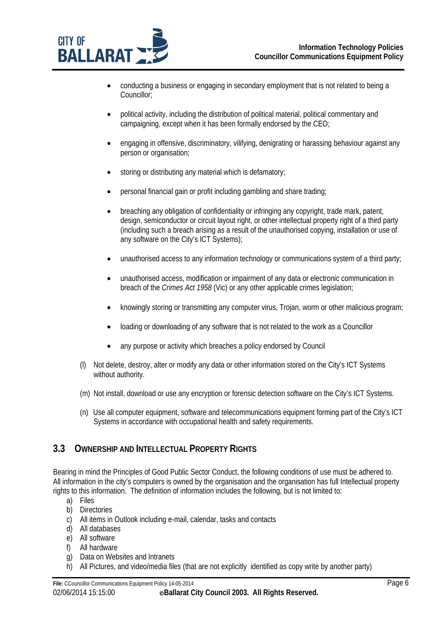

- conducting a business or engaging in secondary employment that is not related to being a Councillor;
- political activity, including the distribution of political material, political commentary and campaigning, except when it has been formally endorsed by the CEO;
- engaging in offensive, discriminatory, vilifying, denigrating or harassing behaviour against any person or organisation;
- storing or distributing any material which is defamatory;
- personal financial gain or profit including gambling and share trading;
- breaching any obligation of confidentiality or infringing any copyright, trade mark, patent, design, semiconductor or circuit layout right, or other intellectual property right of a third party (including such a breach arising as a result of the unauthorised copying, installation or use of any software on the City's ICT Systems);
- unauthorised access to any information technology or communications system of a third party;
- unauthorised access, modification or impairment of any data or electronic communication in breach of the *Crimes Act 1958* (Vic) or any other applicable crimes legislation;
- knowingly storing or transmitting any computer virus, Trojan, worm or other malicious program;
- loading or downloading of any software that is not related to the work as a Councillor
- any purpose or activity which breaches a policy endorsed by Council
- (l) Not delete, destroy, alter or modify any data or other information stored on the City's ICT Systems without authority.
- (m) Not install, download or use any encryption or forensic detection software on the City's ICT Systems.
- (n) Use all computer equipment, software and telecommunications equipment forming part of the City's ICT Systems in accordance with occupational health and safety requirements.

### **3.3 OWNERSHIP AND INTELLECTUAL PROPERTY RIGHTS**

Bearing in mind the Principles of Good Public Sector Conduct, the following conditions of use must be adhered to. All information in the city's computers is owned by the organisation and the organisation has full Intellectual property rights to this information. The definition of information includes the following, but is not limited to:

- a) Files
- b) Directories
- c) All items in Outlook including e-mail, calendar, tasks and contacts
- d) All databases
- e) All software
- f) All hardware
- g) Data on Websites and Intranets
- h) All Pictures, and video/media files (that are not explicitly identified as copy write by another party)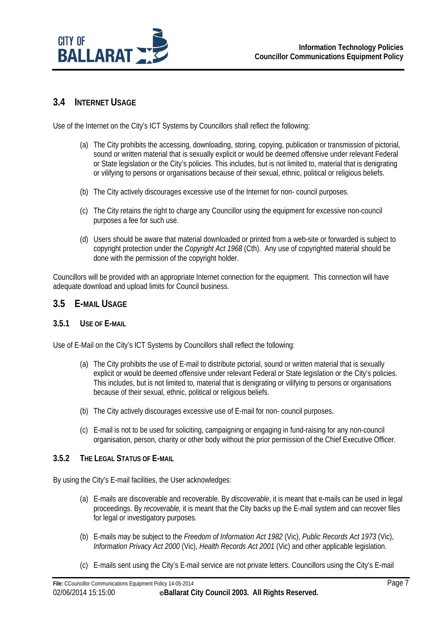

#### **3.4 INTERNET USAGE**

Use of the Internet on the City's ICT Systems by Councillors shall reflect the following:

- (a) The City prohibits the accessing, downloading, storing, copying, publication or transmission of pictorial, sound or written material that is sexually explicit or would be deemed offensive under relevant Federal or State legislation or the City's policies. This includes, but is not limited to, material that is denigrating or vilifying to persons or organisations because of their sexual, ethnic, political or religious beliefs.
- (b) The City actively discourages excessive use of the Internet for non- council purposes.
- (c) The City retains the right to charge any Councillor using the equipment for excessive non-council purposes a fee for such use.
- (d) Users should be aware that material downloaded or printed from a web-site or forwarded is subject to copyright protection under the *Copyright Act 1968* (Cth). Any use of copyrighted material should be done with the permission of the copyright holder.

Councillors will be provided with an appropriate Internet connection for the equipment. This connection will have adequate download and upload limits for Council business.

#### **3.5 E-MAIL USAGE**

#### **3.5.1 USE OF E-MAIL**

Use of E-Mail on the City's ICT Systems by Councillors shall reflect the following:

- (a) The City prohibits the use of E-mail to distribute pictorial, sound or written material that is sexually explicit or would be deemed offensive under relevant Federal or State legislation or the City's policies. This includes, but is not limited to, material that is denigrating or vilifying to persons or organisations because of their sexual, ethnic, political or religious beliefs.
- (b) The City actively discourages excessive use of E-mail for non- council purposes.
- (c) E-mail is not to be used for soliciting, campaigning or engaging in fund-raising for any non-council organisation, person, charity or other body without the prior permission of the Chief Executive Officer.

#### **3.5.2 THE LEGAL STATUS OF E-MAIL**

By using the City's E-mail facilities, the User acknowledges:

- (a) E-mails are discoverable and recoverable. By *discoverable*, it is meant that e-mails can be used in legal proceedings. By *recoverable,* it is meant that the City backs up the E-mail system and can recover files for legal or investigatory purposes.
- (b) E-mails may be subject to the *Freedom of Information Act 1982* (Vic), *Public Records Act 1973* (Vic), *Information Privacy Act 2000* (Vic), *Health Records Act 2001* (Vic) and other applicable legislation.
- (c) E-mails sent using the City's E-mail service are not private letters. Councillors using the City's E-mail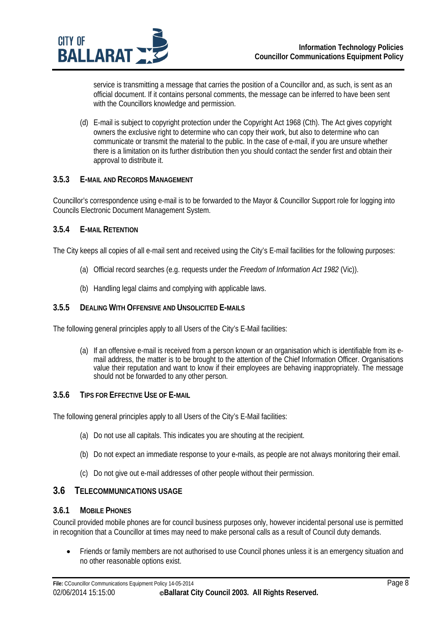

service is transmitting a message that carries the position of a Councillor and, as such, is sent as an official document. If it contains personal comments, the message can be inferred to have been sent with the Councillors knowledge and permission.

(d) E-mail is subject to copyright protection under the Copyright Act 1968 (Cth). The Act gives copyright owners the exclusive right to determine who can copy their work, but also to determine who can communicate or transmit the material to the public. In the case of e-mail, if you are unsure whether there is a limitation on its further distribution then you should contact the sender first and obtain their approval to distribute it.

#### **3.5.3 E-MAIL AND RECORDS MANAGEMENT**

Councillor's correspondence using e-mail is to be forwarded to the Mayor & Councillor Support role for logging into Councils Electronic Document Management System.

#### **3.5.4 E-MAIL RETENTION**

The City keeps all copies of all e-mail sent and received using the City's E-mail facilities for the following purposes:

- (a) Official record searches (e.g. requests under the *Freedom of Information Act 1982* (Vic)).
- (b) Handling legal claims and complying with applicable laws.

#### **3.5.5 DEALING WITH OFFENSIVE AND UNSOLICITED E-MAILS**

The following general principles apply to all Users of the City's E-Mail facilities:

(a) If an offensive e-mail is received from a person known or an organisation which is identifiable from its email address, the matter is to be brought to the attention of the Chief Information Officer. Organisations value their reputation and want to know if their employees are behaving inappropriately. The message should not be forwarded to any other person.

#### **3.5.6 TIPS FOR EFFECTIVE USE OF E-MAIL**

The following general principles apply to all Users of the City's E-Mail facilities:

- (a) Do not use all capitals. This indicates you are shouting at the recipient.
- (b) Do not expect an immediate response to your e-mails, as people are not always monitoring their email.
- (c) Do not give out e-mail addresses of other people without their permission.

#### **3.6 TELECOMMUNICATIONS USAGE**

#### **3.6.1 MOBILE PHONES**

Council provided mobile phones are for council business purposes only, however incidental personal use is permitted in recognition that a Councillor at times may need to make personal calls as a result of Council duty demands.

• Friends or family members are not authorised to use Council phones unless it is an emergency situation and no other reasonable options exist.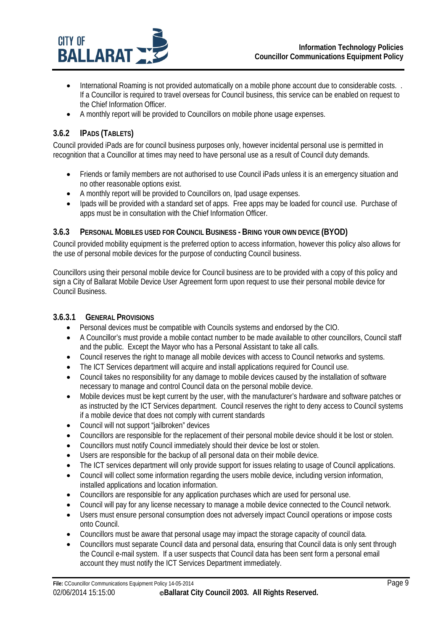

- International Roaming is not provided automatically on a mobile phone account due to considerable costs. If a Councillor is required to travel overseas for Council business, this service can be enabled on request to the Chief Information Officer.
- A monthly report will be provided to Councillors on mobile phone usage expenses.

### **3.6.2 IPADS (TABLETS)**

Council provided iPads are for council business purposes only, however incidental personal use is permitted in recognition that a Councillor at times may need to have personal use as a result of Council duty demands.

- Friends or family members are not authorised to use Council iPads unless it is an emergency situation and no other reasonable options exist.
- A monthly report will be provided to Councillors on, Ipad usage expenses.
- Ipads will be provided with a standard set of apps. Free apps may be loaded for council use. Purchase of apps must be in consultation with the Chief Information Officer.

#### **3.6.3 PERSONAL MOBILES USED FOR COUNCIL BUSINESS - BRING YOUR OWN DEVICE (BYOD)**

Council provided mobility equipment is the preferred option to access information, however this policy also allows for the use of personal mobile devices for the purpose of conducting Council business.

Councillors using their personal mobile device for Council business are to be provided with a copy of this policy and sign a City of Ballarat Mobile Device User Agreement form upon request to use their personal mobile device for Council Business.

#### **3.6.3.1 GENERAL PROVISIONS**

- Personal devices must be compatible with Councils systems and endorsed by the CIO.
- A Councillor's must provide a mobile contact number to be made available to other councillors, Council staff and the public. Except the Mayor who has a Personal Assistant to take all calls.
- Council reserves the right to manage all mobile devices with access to Council networks and systems.
- The ICT Services department will acquire and install applications required for Council use.
- Council takes no responsibility for any damage to mobile devices caused by the installation of software necessary to manage and control Council data on the personal mobile device.
- Mobile devices must be kept current by the user, with the manufacturer's hardware and software patches or as instructed by the ICT Services department. Council reserves the right to deny access to Council systems if a mobile device that does not comply with current standards
- Council will not support "jailbroken" devices
- Councillors are responsible for the replacement of their personal mobile device should it be lost or stolen.
- Councillors must notify Council immediately should their device be lost or stolen.
- Users are responsible for the backup of all personal data on their mobile device.
- The ICT services department will only provide support for issues relating to usage of Council applications.
- Council will collect some information regarding the users mobile device, including version information, installed applications and location information.
- Councillors are responsible for any application purchases which are used for personal use.
- Council will pay for any license necessary to manage a mobile device connected to the Council network.
- Users must ensure personal consumption does not adversely impact Council operations or impose costs onto Council.
- Councillors must be aware that personal usage may impact the storage capacity of council data.
- Councillors must separate Council data and personal data, ensuring that Council data is only sent through the Council e-mail system. If a user suspects that Council data has been sent form a personal email account they must notify the ICT Services Department immediately.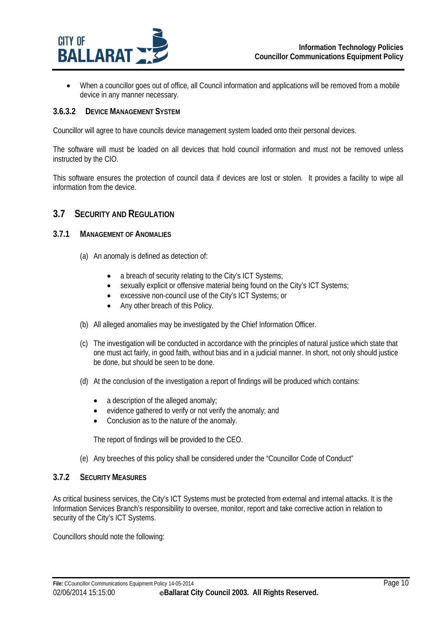

 When a councillor goes out of office, all Council information and applications will be removed from a mobile device in any manner necessary.

#### **3.6.3.2 DEVICE MANAGEMENT SYSTEM**

Councillor will agree to have councils device management system loaded onto their personal devices.

The software will must be loaded on all devices that hold council information and must not be removed unless instructed by the CIO.

This software ensures the protection of council data if devices are lost or stolen. It provides a facility to wipe all information from the device.

#### **3.7 SECURITY AND REGULATION**

#### **3.7.1 MANAGEMENT OF ANOMALIES**

- (a) An anomaly is defined as detection of:
	- a breach of security relating to the City's ICT Systems;
	- sexually explicit or offensive material being found on the City's ICT Systems;
	- excessive non-council use of the City's ICT Systems; or
	- Any other breach of this Policy.
- (b) All alleged anomalies may be investigated by the Chief Information Officer.
- (c) The investigation will be conducted in accordance with the principles of natural justice which state that one must act fairly, in good faith, without bias and in a judicial manner. In short, not only should justice be done, but should be seen to be done.
- (d) At the conclusion of the investigation a report of findings will be produced which contains:
	- a description of the alleged anomaly;
	- evidence gathered to verify or not verify the anomaly; and
	- Conclusion as to the nature of the anomaly.

The report of findings will be provided to the CEO.

(e) Any breeches of this policy shall be considered under the "Councillor Code of Conduct"

#### **3.7.2 SECURITY MEASURES**

As critical business services, the City's ICT Systems must be protected from external and internal attacks. It is the Information Services Branch's responsibility to oversee, monitor, report and take corrective action in relation to security of the City's ICT Systems.

Councillors should note the following: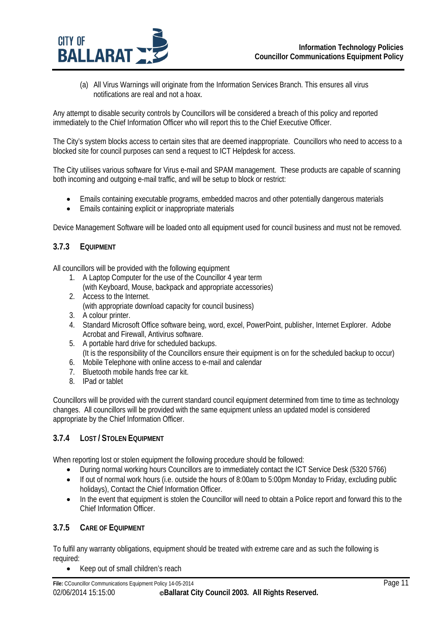

(a) All Virus Warnings will originate from the Information Services Branch. This ensures all virus notifications are real and not a hoax.

Any attempt to disable security controls by Councillors will be considered a breach of this policy and reported immediately to the Chief Information Officer who will report this to the Chief Executive Officer.

The City's system blocks access to certain sites that are deemed inappropriate. Councillors who need to access to a blocked site for council purposes can send a request to ICT Helpdesk for access.

The City utilises various software for Virus e-mail and SPAM management. These products are capable of scanning both incoming and outgoing e-mail traffic, and will be setup to block or restrict:

- Emails containing executable programs, embedded macros and other potentially dangerous materials
- Emails containing explicit or inappropriate materials

Device Management Software will be loaded onto all equipment used for council business and must not be removed.

#### **3.7.3 EQUIPMENT**

All councillors will be provided with the following equipment

- 1. A Laptop Computer for the use of the Councillor 4 year term
- (with Keyboard, Mouse, backpack and appropriate accessories)
- 2. Access to the Internet. (with appropriate download capacity for council business)
- 3. A colour printer.
- 4. Standard Microsoft Office software being, word, excel, PowerPoint, publisher, Internet Explorer. Adobe Acrobat and Firewall, Antivirus software.
- 5. A portable hard drive for scheduled backups. (It is the responsibility of the Councillors ensure their equipment is on for the scheduled backup to occur)
- 6. Mobile Telephone with online access to e-mail and calendar
- 7. Bluetooth mobile hands free car kit.
- 8. IPad or tablet

Councillors will be provided with the current standard council equipment determined from time to time as technology changes. All councillors will be provided with the same equipment unless an updated model is considered appropriate by the Chief Information Officer.

#### **3.7.4 LOST / STOLEN EQUIPMENT**

When reporting lost or stolen equipment the following procedure should be followed:

- During normal working hours Councillors are to immediately contact the ICT Service Desk (5320 5766)
- If out of normal work hours (i.e. outside the hours of 8:00am to 5:00pm Monday to Friday, excluding public holidays), Contact the Chief Information Officer.
- In the event that equipment is stolen the Councillor will need to obtain a Police report and forward this to the Chief Information Officer.

#### **3.7.5 CARE OF EQUIPMENT**

To fulfil any warranty obligations, equipment should be treated with extreme care and as such the following is required:

• Keep out of small children's reach